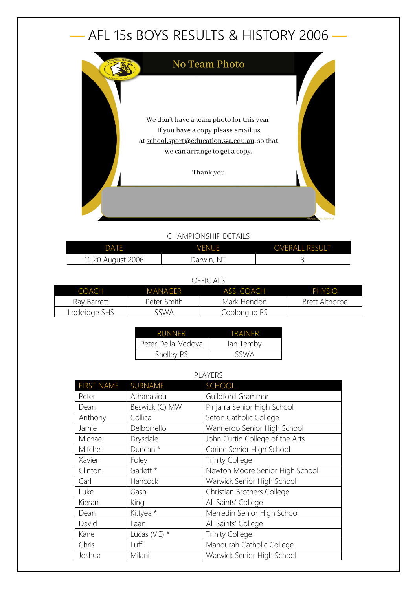## — AFL 15s BOYS RESULTS & HISTORY 2006 —



## CHAMPIONSHIP DETAILS

| <b>VENUE</b><br>DATF |            | <b>OVERALL RESULT</b> |
|----------------------|------------|-----------------------|
| 11-20 August 2006    | Darwin, NT |                       |

## OFFICIALS

| COACH         | MANAGER     | ASS. COACH   | <b>PHYSIO</b>         |
|---------------|-------------|--------------|-----------------------|
| Ray Barrett   | Peter Smith | Mark Hendon  | <b>Brett Althorpe</b> |
| Lockridge SHS | sswa        | Coolongup PS |                       |

| <b>RUNNER</b>      | TRAINFR   |
|--------------------|-----------|
| Peter Della-Vedova | lan Temby |
| Shelley PS         | SSWA      |

## PLAYERS

| <b>FIRST NAME</b> | SURNAME        | SCHOOL                          |
|-------------------|----------------|---------------------------------|
| Peter             | Athanasiou     | Guildford Grammar               |
| Dean              | Beswick (C) MW | Pinjarra Senior High School     |
| Anthony           | Collica        | Seton Catholic College          |
| Jamie             | Delborrello    | Wanneroo Senior High School     |
| Michael           | Drysdale       | John Curtin College of the Arts |
| Mitchell          | Duncan *       | Carine Senior High School       |
| Xavier            | Foley          | <b>Trinity College</b>          |
| Clinton           | Garlett *      | Newton Moore Senior High School |
| Carl              | Hancock        | Warwick Senior High School      |
| Luke              | Gash           | Christian Brothers College      |
| Kieran            | King           | All Saints' College             |
| Dean              | Kittyea *      | Merredin Senior High School     |
| David             | Laan           | All Saints' College             |
| Kane              | Lucas (VC) $*$ | <b>Trinity College</b>          |
| Chris             | Luff           | Mandurah Catholic College       |
| Joshua            | Milani         | Warwick Senior High School      |